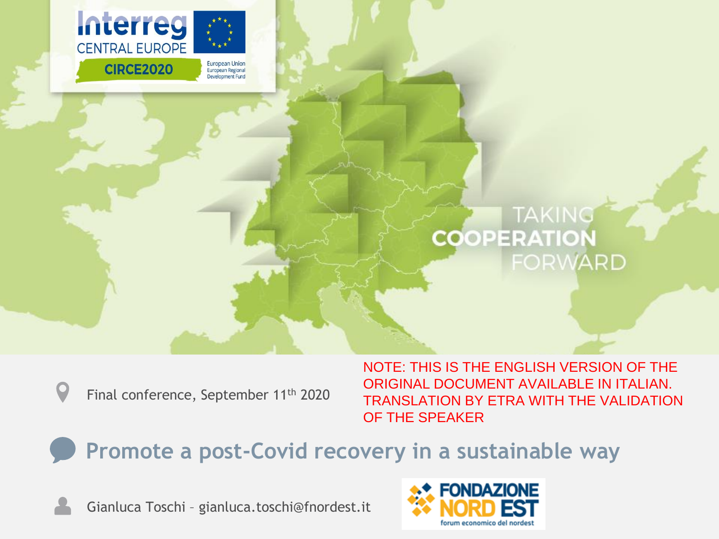

#### **TAKING COOPERATION FORWARD**

Final conference, September 11th 2020

NOTE: THIS IS THE ENGLISH VERSION OF THE ORIGINAL DOCUMENT AVAILABLE IN ITALIAN. TRANSLATION BY ETRA WITH THE VALIDATION OF THE SPEAKER

**Promote a post-Covid recovery in a sustainable way**

Gianluca Toschi – gianluca.toschi@fnordest.it

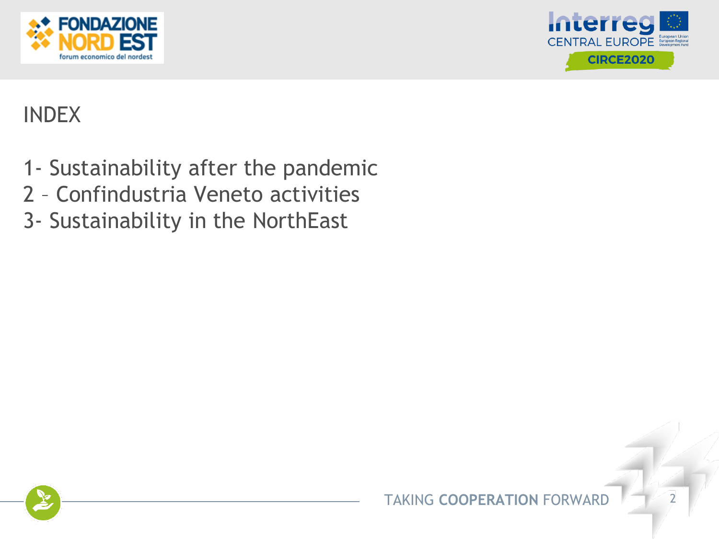



# INDEX

- 1- Sustainability after the pandemic
- 2 Confindustria Veneto activities
- 3- Sustainability in the NorthEast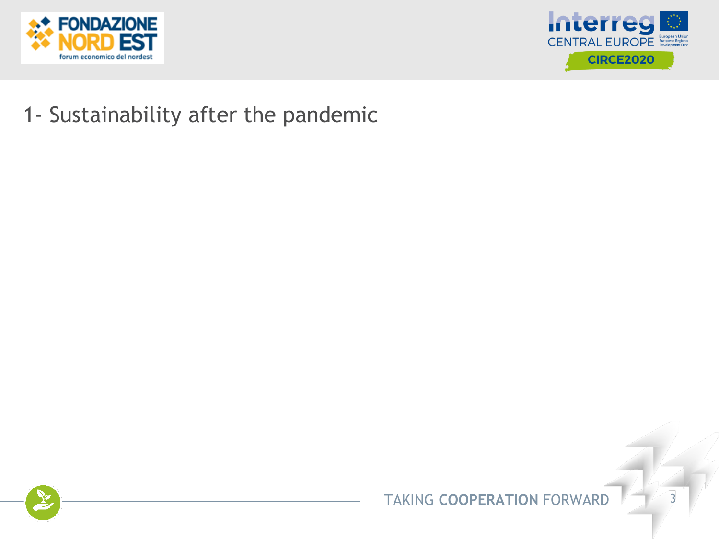



#### 1- Sustainability after the pandemic

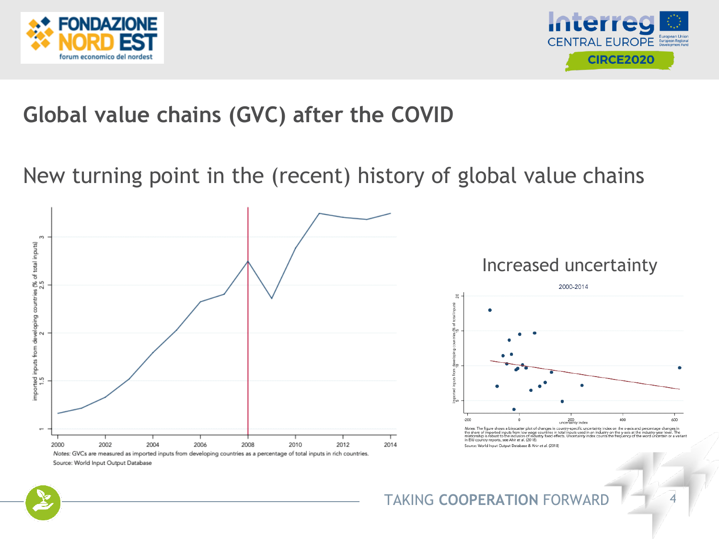



## **Global value chains (GVC) after the COVID**

New turning point in the (recent) history of global value chains







Notes: The figure shows a binscatter plot of changes in country-specific uncertainty index on the x-axis and percentage changes in<br>the share of imported inputs from low wage countries in total inputs used in an industry on in EIU country reports, see Ahir et al. (2018). Source: World Input Output Database & Ahir et al. (2018)

#### TAKING **COOPERATION** FORWARD 4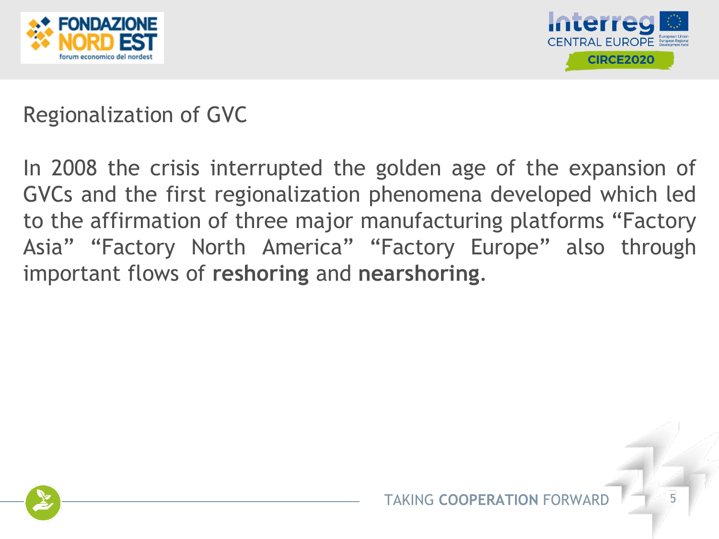



## Regionalization of GVC

In 2008 the crisis interrupted the golden age of the expansion of GVCs and the first regionalization phenomena developed which led to the affirmation of three major manufacturing platforms "Factory Asia" "Factory North America" "Factory Europe" also through important flows of **reshoring** and **nearshoring**.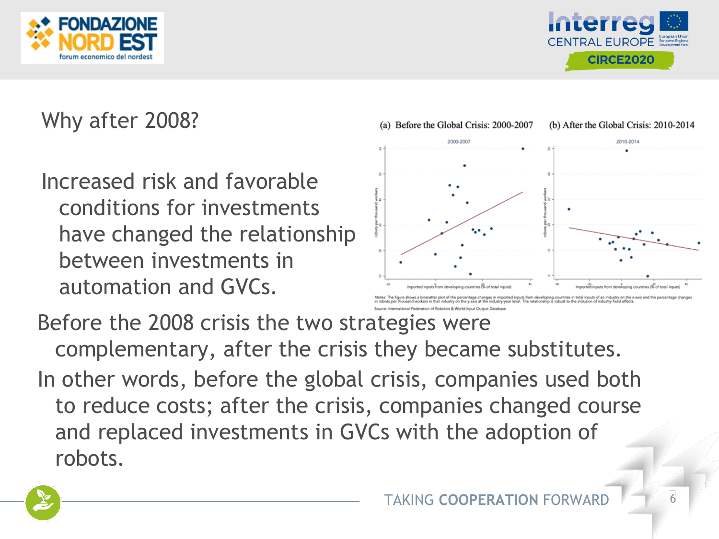



# Why after 2008?

Increased risk and favorable conditions for investments have changed the relationship between investments in automation and GVCs.



catter plot of the percentage changes in imported inputs from developing countries in total inputs of an industry on the x-axis and the perce<br>i in that industry on the waxis at the industry-year level. The relationship is

Before the 2008 crisis the two strategies were complementary, after the crisis they became substitutes. In other words, before the global crisis, companies used both to reduce costs; after the crisis, companies changed course and replaced investments in GVCs with the adoption of robots.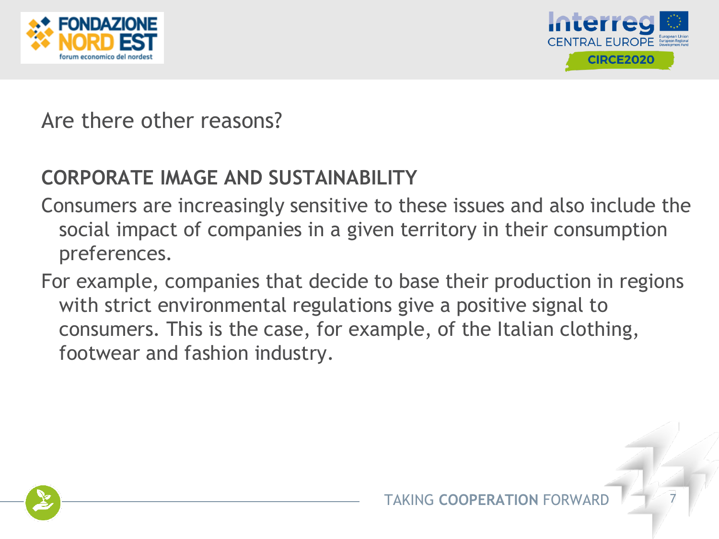



Are there other reasons?

#### **CORPORATE IMAGE AND SUSTAINABILITY**

- Consumers are increasingly sensitive to these issues and also include the social impact of companies in a given territory in their consumption preferences.
- For example, companies that decide to base their production in regions with strict environmental regulations give a positive signal to consumers. This is the case, for example, of the Italian clothing, footwear and fashion industry.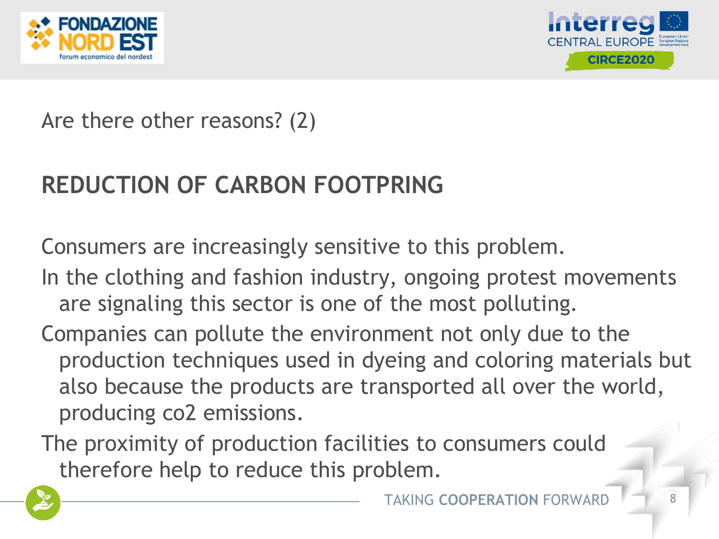



### Are there other reasons? (2)

# **REDUCTION OF CARBON FOOTPRING**

Consumers are increasingly sensitive to this problem.

- In the clothing and fashion industry, ongoing protest movements are signaling this sector is one of the most polluting.
- Companies can pollute the environment not only due to the production techniques used in dyeing and coloring materials but also because the products are transported all over the world, producing co2 emissions.
- The proximity of production facilities to consumers could therefore help to reduce this problem.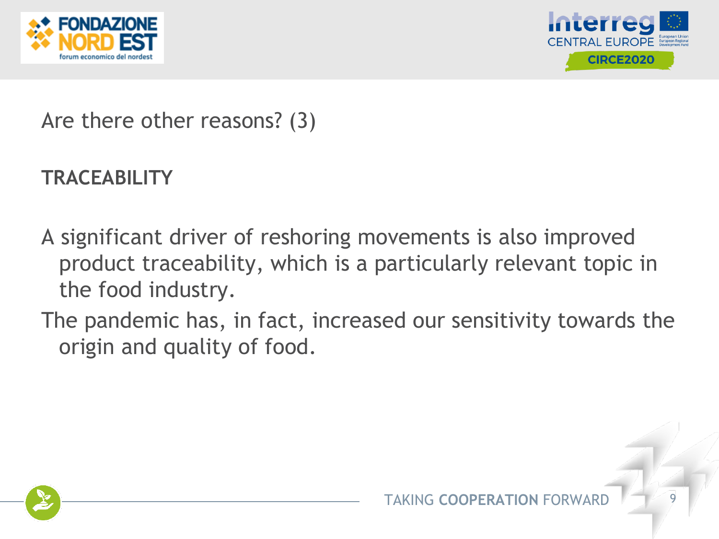



Are there other reasons? (3)

### **TRACEABILITY**

- A significant driver of reshoring movements is also improved product traceability, which is a particularly relevant topic in the food industry.
- The pandemic has, in fact, increased our sensitivity towards the origin and quality of food.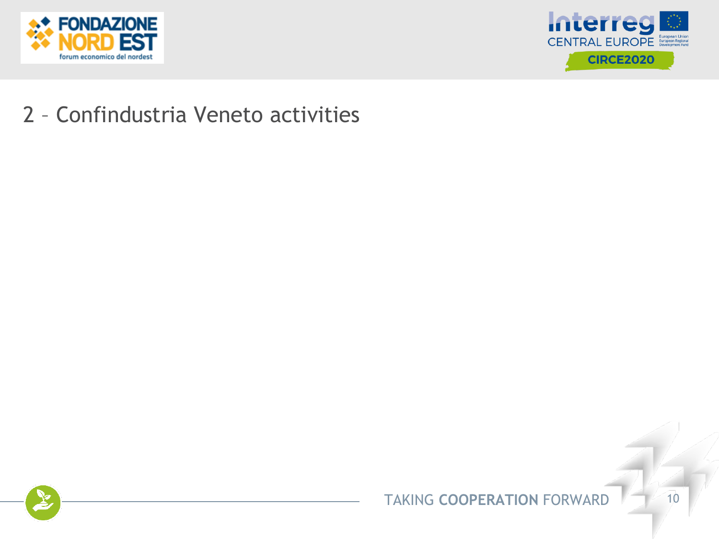



#### 2 – Confindustria Veneto activities

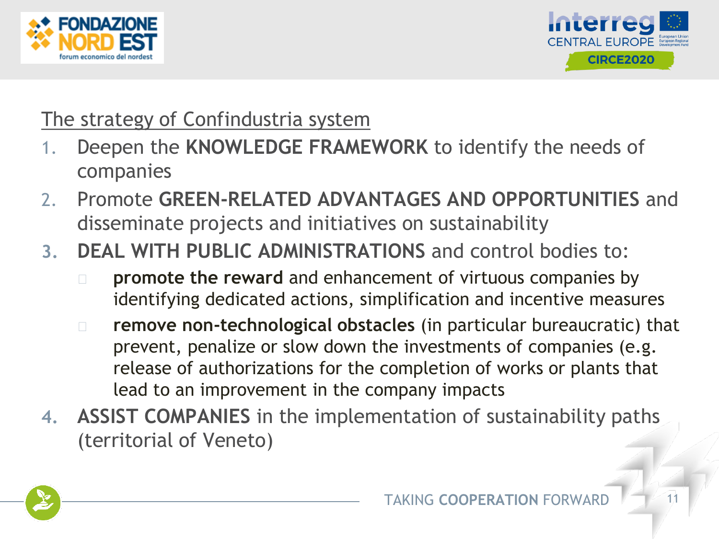



#### The strategy of Confindustria system

- 1. Deepen the **KNOWLEDGE FRAMEWORK** to identify the needs of companies
- 2. Promote **GREEN-RELATED ADVANTAGES AND OPPORTUNITIES** and disseminate projects and initiatives on sustainability
- **3. DEAL WITH PUBLIC ADMINISTRATIONS** and control bodies to:
	- ◻ **promote the reward** and enhancement of virtuous companies by identifying dedicated actions, simplification and incentive measures
	- ◻ **remove non-technological obstacles** (in particular bureaucratic) that prevent, penalize or slow down the investments of companies (e.g. release of authorizations for the completion of works or plants that lead to an improvement in the company impacts
- **4. ASSIST COMPANIES** in the implementation of sustainability paths (territorial of Veneto)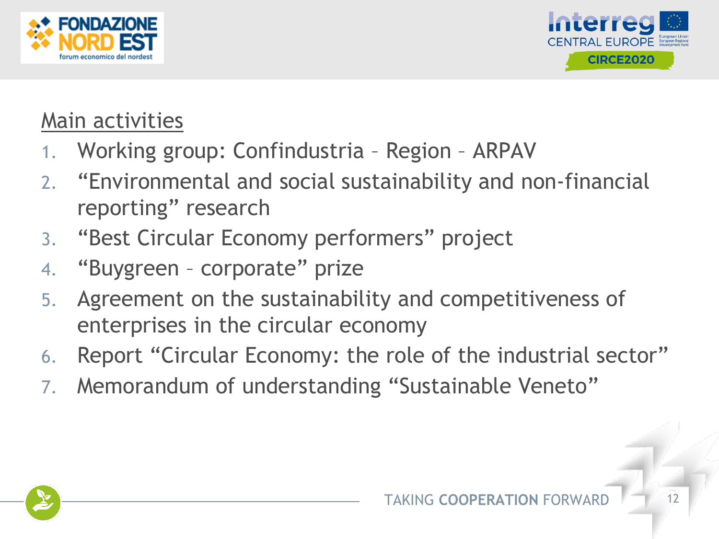



## Main activities

- 1. Working group: Confindustria Region ARPAV
- 2. "Environmental and social sustainability and non-financial reporting" research
- 3. "Best Circular Economy performers" project
- 4. "Buygreen corporate" prize
- 5. Agreement on the sustainability and competitiveness of enterprises in the circular economy
- 6. Report "Circular Economy: the role of the industrial sector"
- 7. Memorandum of understanding "Sustainable Veneto"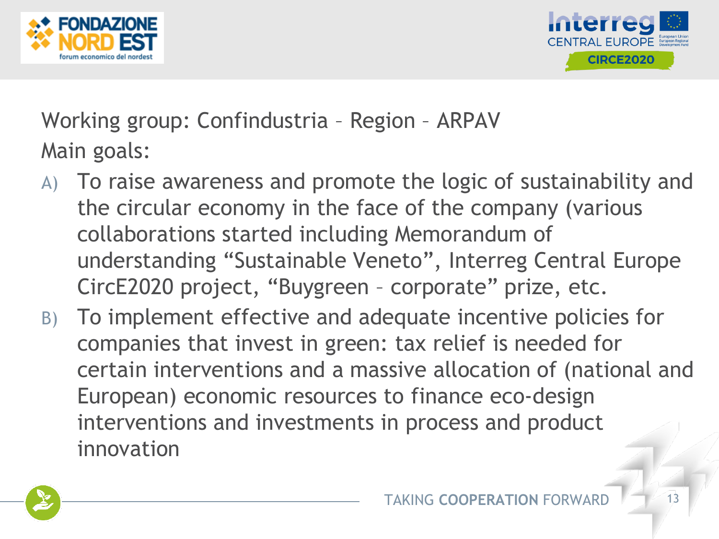



Working group: Confindustria – Region – ARPAV Main goals:

- A) To raise awareness and promote the logic of sustainability and the circular economy in the face of the company (various collaborations started including Memorandum of understanding "Sustainable Veneto", Interreg Central Europe CircE2020 project, "Buygreen – corporate" prize, etc.
- B) To implement effective and adequate incentive policies for companies that invest in green: tax relief is needed for certain interventions and a massive allocation of (national and European) economic resources to finance eco-design interventions and investments in process and product innovation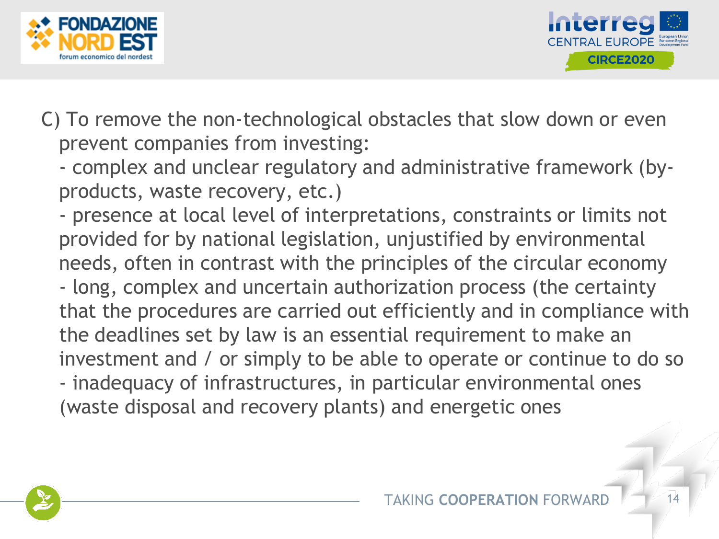



C) To remove the non-technological obstacles that slow down or even prevent companies from investing:

- complex and unclear regulatory and administrative framework (byproducts, waste recovery, etc.)

- presence at local level of interpretations, constraints or limits not provided for by national legislation, unjustified by environmental needs, often in contrast with the principles of the circular economy - long, complex and uncertain authorization process (the certainty that the procedures are carried out efficiently and in compliance with the deadlines set by law is an essential requirement to make an investment and / or simply to be able to operate or continue to do so - inadequacy of infrastructures, in particular environmental ones (waste disposal and recovery plants) and energetic ones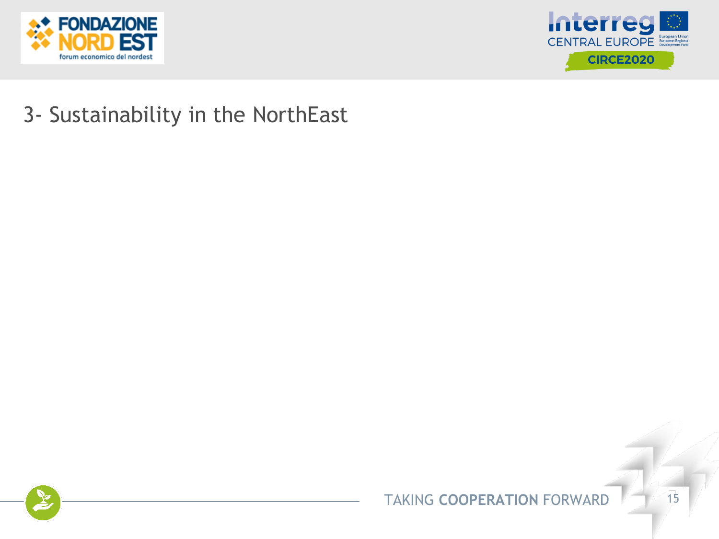



### 3- Sustainability in the NorthEast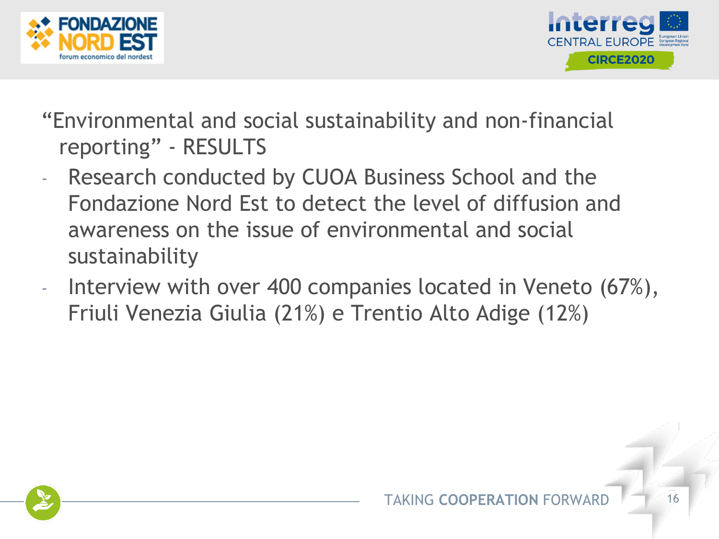



- "Environmental and social sustainability and non-financial reporting" - RESULTS
- Research conducted by CUOA Business School and the Fondazione Nord Est to detect the level of diffusion and awareness on the issue of environmental and social sustainability
- Interview with over 400 companies located in Veneto (67%), Friuli Venezia Giulia (21%) e Trentio Alto Adige (12%)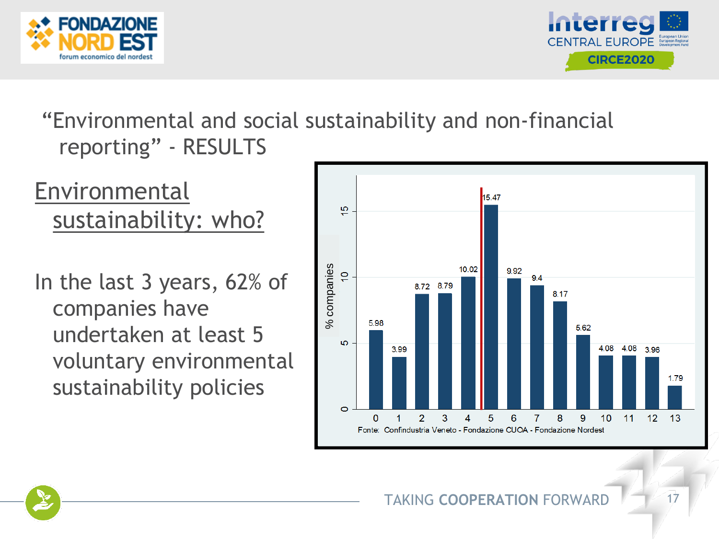



# Environmental sustainability: who?

In the last 3 years, 62% of companies have undertaken at least 5 voluntary environmental sustainability policies

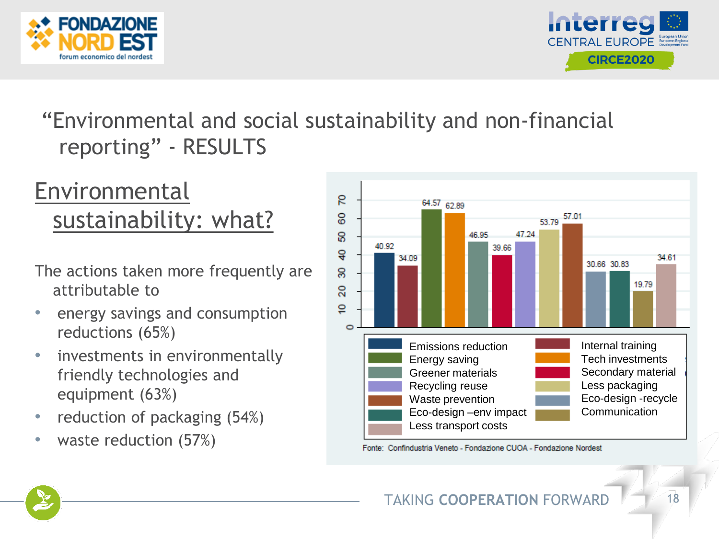



# **Environmental** sustainability: what?

- The actions taken more frequently are attributable to
- energy savings and consumption reductions (65%)
- investments in environmentally friendly technologies and equipment (63%)
- reduction of packaging (54%)
- waste reduction  $(57%)$



Fonte: Confindustria Veneto - Fondazione CUOA - Fondazione Nordest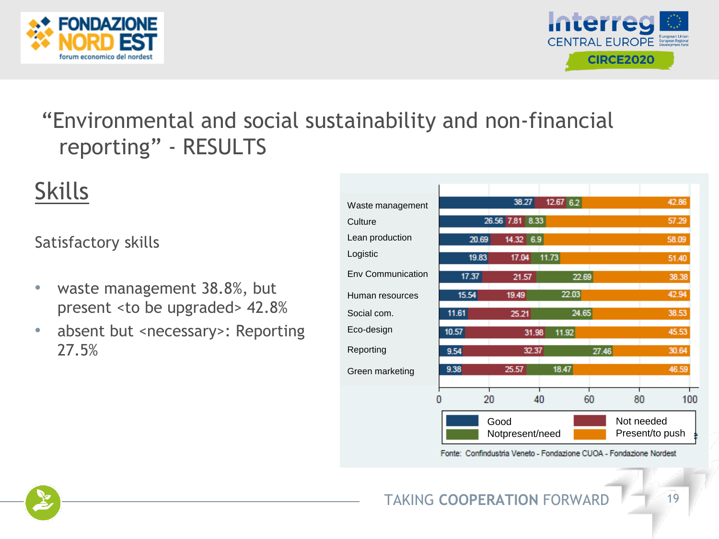



# Skills

#### Satisfactory skills

- waste management 38.8%, but present <to be upgraded> 42.8%
- absent but <necessary>: Reporting 27.5%

| Waste management         |       | 38.27                                                    | 12.6762 |       | 42.86     |
|--------------------------|-------|----------------------------------------------------------|---------|-------|-----------|
| Culture                  |       | 26.56 7.81 8.33                                          |         |       | 57.29     |
| Lean production          | 20.69 | 14.32 6.9                                                |         |       | 58.09     |
| Logistic                 | 19.83 | 17.04                                                    | 11.73   |       | 51.40     |
| <b>Env Communication</b> | 17.37 | 21.57                                                    | 22.69   |       | 38.38     |
| Human resources          | 15.54 | 19.49                                                    | 22.03   |       | 42.94     |
| Social com.              | 11.61 | 25.21                                                    | 24.65   |       | 38.53     |
| Eco-design               | 10.57 | 31.98                                                    | 11.92   |       | 45.53     |
| Reporting                | 9.54  | 32.37                                                    |         | 27.46 | 30.64     |
| Green marketing          | 9.38  | 25.57                                                    | 18.47   |       | 46.59     |
|                          | 20    | 40                                                       | 60      |       | 80<br>100 |
|                          |       | Good<br>Not needed<br>Notpresent/need<br>Present/to push |         |       |           |

Fonte: Confindustria Veneto - Fondazione CUOA - Fondazione Nordest